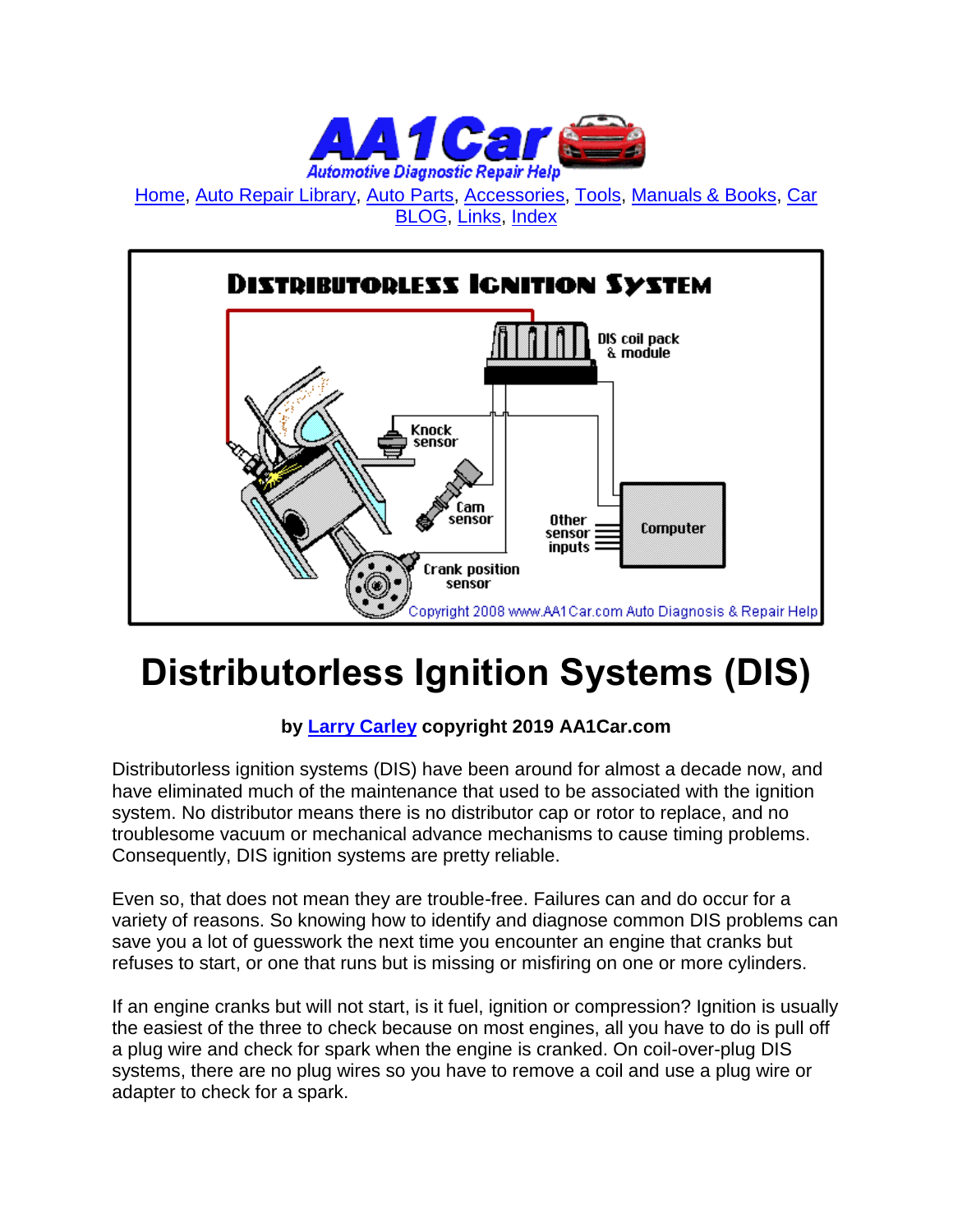

[Home,](http://www.aa1car.com/) [Auto Repair Library,](http://www.aa1car.com/library.htm) [Auto Parts,](http://www.aa1car.com/links_parts.htm) [Accessories,](http://www.aa1car.com/links_accessories.htm) [Tools,](http://www.aa1car.com/links_tools.htm) [Manuals & Books,](http://www.aa1car.com/links_books.htm) [Car](http://www.aa1car.com/blog/blog.htm)  [BLOG,](http://www.aa1car.com/blog/blog.htm) [Links,](http://www.aa1car.com/links.htm) [Index](http://www.aa1car.com/index_alphabetical.htm)



## **Distributorless Ignition Systems (DIS)**

#### **by [Larry Carley](https://www.aa1car.com/larrypage/larrycarley_photos.htm) copyright 2019 AA1Car.com**

Distributorless ignition systems (DIS) have been around for almost a decade now, and have eliminated much of the maintenance that used to be associated with the ignition system. No distributor means there is no distributor cap or rotor to replace, and no troublesome vacuum or mechanical advance mechanisms to cause timing problems. Consequently, DIS ignition systems are pretty reliable.

Even so, that does not mean they are trouble-free. Failures can and do occur for a variety of reasons. So knowing how to identify and diagnose common DIS problems can save you a lot of guesswork the next time you encounter an engine that cranks but refuses to start, or one that runs but is missing or misfiring on one or more cylinders.

If an engine cranks but will not start, is it fuel, ignition or compression? Ignition is usually the easiest of the three to check because on most engines, all you have to do is pull off a plug wire and check for spark when the engine is cranked. On coil-over-plug DIS systems, there are no plug wires so you have to remove a coil and use a plug wire or adapter to check for a spark.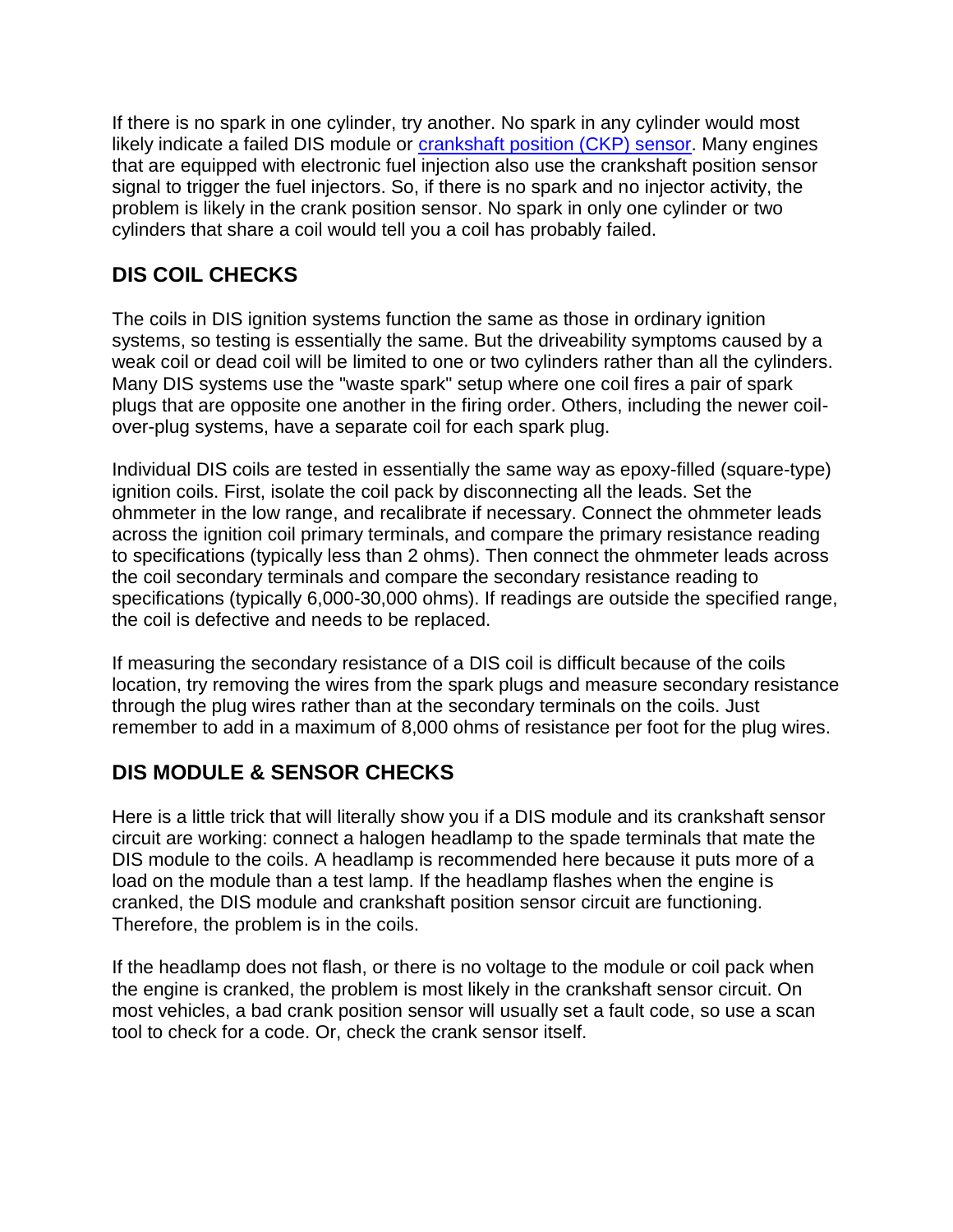If there is no spark in one cylinder, try another. No spark in any cylinder would most likely indicate a failed DIS module or **crankshaft position (CKP)** sensor. Many engines that are equipped with electronic fuel injection also use the crankshaft position sensor signal to trigger the fuel injectors. So, if there is no spark and no injector activity, the problem is likely in the crank position sensor. No spark in only one cylinder or two cylinders that share a coil would tell you a coil has probably failed.

### **DIS COIL CHECKS**

The coils in DIS ignition systems function the same as those in ordinary ignition systems, so testing is essentially the same. But the driveability symptoms caused by a weak coil or dead coil will be limited to one or two cylinders rather than all the cylinders. Many DIS systems use the "waste spark" setup where one coil fires a pair of spark plugs that are opposite one another in the firing order. Others, including the newer coilover-plug systems, have a separate coil for each spark plug.

Individual DIS coils are tested in essentially the same way as epoxy-filled (square-type) ignition coils. First, isolate the coil pack by disconnecting all the leads. Set the ohmmeter in the low range, and recalibrate if necessary. Connect the ohmmeter leads across the ignition coil primary terminals, and compare the primary resistance reading to specifications (typically less than 2 ohms). Then connect the ohmmeter leads across the coil secondary terminals and compare the secondary resistance reading to specifications (typically 6,000-30,000 ohms). If readings are outside the specified range, the coil is defective and needs to be replaced.

If measuring the secondary resistance of a DIS coil is difficult because of the coils location, try removing the wires from the spark plugs and measure secondary resistance through the plug wires rather than at the secondary terminals on the coils. Just remember to add in a maximum of 8,000 ohms of resistance per foot for the plug wires.

#### **DIS MODULE & SENSOR CHECKS**

Here is a little trick that will literally show you if a DIS module and its crankshaft sensor circuit are working: connect a halogen headlamp to the spade terminals that mate the DIS module to the coils. A headlamp is recommended here because it puts more of a load on the module than a test lamp. If the headlamp flashes when the engine is cranked, the DIS module and crankshaft position sensor circuit are functioning. Therefore, the problem is in the coils.

If the headlamp does not flash, or there is no voltage to the module or coil pack when the engine is cranked, the problem is most likely in the crankshaft sensor circuit. On most vehicles, a bad crank position sensor will usually set a fault code, so use a scan tool to check for a code. Or, check the crank sensor itself.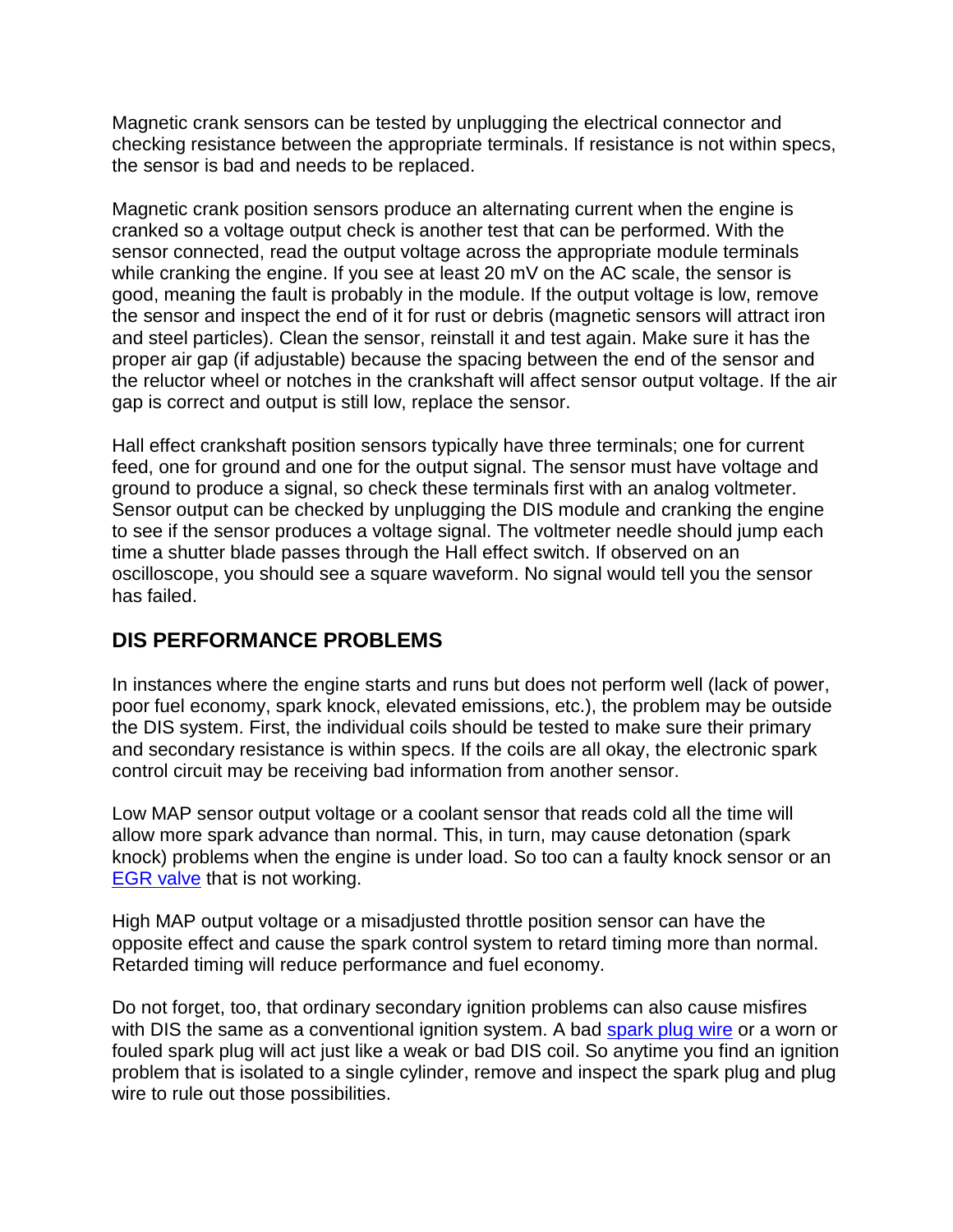Magnetic crank sensors can be tested by unplugging the electrical connector and checking resistance between the appropriate terminals. If resistance is not within specs, the sensor is bad and needs to be replaced.

Magnetic crank position sensors produce an alternating current when the engine is cranked so a voltage output check is another test that can be performed. With the sensor connected, read the output voltage across the appropriate module terminals while cranking the engine. If you see at least 20 mV on the AC scale, the sensor is good, meaning the fault is probably in the module. If the output voltage is low, remove the sensor and inspect the end of it for rust or debris (magnetic sensors will attract iron and steel particles). Clean the sensor, reinstall it and test again. Make sure it has the proper air gap (if adjustable) because the spacing between the end of the sensor and the reluctor wheel or notches in the crankshaft will affect sensor output voltage. If the air gap is correct and output is still low, replace the sensor.

Hall effect crankshaft position sensors typically have three terminals; one for current feed, one for ground and one for the output signal. The sensor must have voltage and ground to produce a signal, so check these terminals first with an analog voltmeter. Sensor output can be checked by unplugging the DIS module and cranking the engine to see if the sensor produces a voltage signal. The voltmeter needle should jump each time a shutter blade passes through the Hall effect switch. If observed on an oscilloscope, you should see a square waveform. No signal would tell you the sensor has failed.

#### **DIS PERFORMANCE PROBLEMS**

In instances where the engine starts and runs but does not perform well (lack of power, poor fuel economy, spark knock, elevated emissions, etc.), the problem may be outside the DIS system. First, the individual coils should be tested to make sure their primary and secondary resistance is within specs. If the coils are all okay, the electronic spark control circuit may be receiving bad information from another sensor.

Low MAP sensor output voltage or a coolant sensor that reads cold all the time will allow more spark advance than normal. This, in turn, may cause detonation (spark knock) problems when the engine is under load. So too can a faulty knock sensor or an [EGR valve](http://www.aa1car.com/library/egr.htm) that is not working.

High MAP output voltage or a misadjusted throttle position sensor can have the opposite effect and cause the spark control system to retard timing more than normal. Retarded timing will reduce performance and fuel economy.

Do not forget, too, that ordinary secondary ignition problems can also cause misfires with DIS the same as a conventional ignition system. A bad [spark plug wire](http://www.aa1car.com/library/spark_plug_wires.htm) or a worn or fouled spark plug will act just like a weak or bad DIS coil. So anytime you find an ignition problem that is isolated to a single cylinder, remove and inspect the spark plug and plug wire to rule out those possibilities.